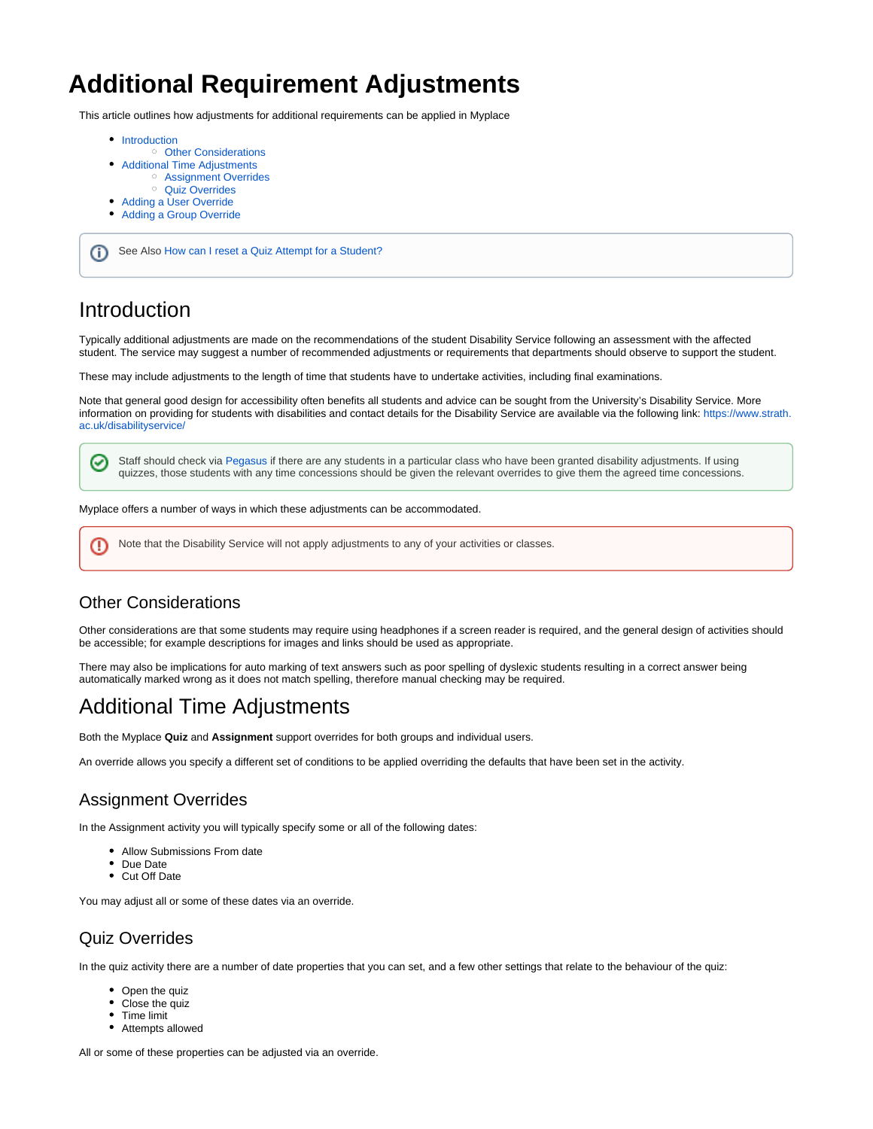# **Additional Requirement Adjustments**

This article outlines how adjustments for additional requirements can be applied in Myplace

- [Introduction](#page-0-0)
- <sup>o</sup> [Other Considerations](#page-0-1)
- [Additional Time Adjustments](#page-0-2)
	- [Assignment Overrides](#page-0-3)
		- [Quiz Overrides](#page-0-4)
	- [Adding a User Override](#page-1-0)
- [Adding a Group Override](#page-2-0)

ന See Also [How can I reset a Quiz Attempt for a Student?](https://support.myplace.strath.ac.uk/display/MS/Common+Quiz+Questions#CommonQuizQuestions-HowcanIresetaQuizAttemptforaStudent?)

### <span id="page-0-0"></span>Introduction

Typically additional adjustments are made on the recommendations of the student Disability Service following an assessment with the affected student. The service may suggest a number of recommended adjustments or requirements that departments should observe to support the student.

These may include adjustments to the length of time that students have to undertake activities, including final examinations.

Note that general good design for accessibility often benefits all students and advice can be sought from the University's Disability Service. More information on providing for students with disabilities and contact details for the Disability Service are available via the following link: [https://www.strath.](https://www.strath.ac.uk/disabilityservice/) [ac.uk/disabilityservice/](https://www.strath.ac.uk/disabilityservice/)

Staff should check via [Pegasus i](http://pegasus.strath.ac.uk)f there are any students in a particular class who have been granted disability adjustments. If using ☑ quizzes, those students with any time concessions should be given the relevant overrides to give them the agreed time concessions.

Myplace offers a number of ways in which these adjustments can be accommodated.

Note that the Disability Service will not apply adjustments to any of your activities or classes.(!)

#### <span id="page-0-1"></span>Other Considerations

Other considerations are that some students may require using headphones if a screen reader is required, and the general design of activities should be accessible; for example descriptions for images and links should be used as appropriate.

There may also be implications for auto marking of text answers such as poor spelling of dyslexic students resulting in a correct answer being automatically marked wrong as it does not match spelling, therefore manual checking may be required.

### <span id="page-0-2"></span>Additional Time Adjustments

Both the Myplace **Quiz** and **Assignment** support overrides for both groups and individual users.

An override allows you specify a different set of conditions to be applied overriding the defaults that have been set in the activity.

#### <span id="page-0-3"></span>Assignment Overrides

In the Assignment activity you will typically specify some or all of the following dates:

- Allow Submissions From date
- Due Date
- Cut Off Date

You may adjust all or some of these dates via an override.

#### <span id="page-0-4"></span>Quiz Overrides

In the quiz activity there are a number of date properties that you can set, and a few other settings that relate to the behaviour of the quiz:

- Open the quiz
- Close the quiz
- Time limit
- Attempts allowed

All or some of these properties can be adjusted via an override.

Λ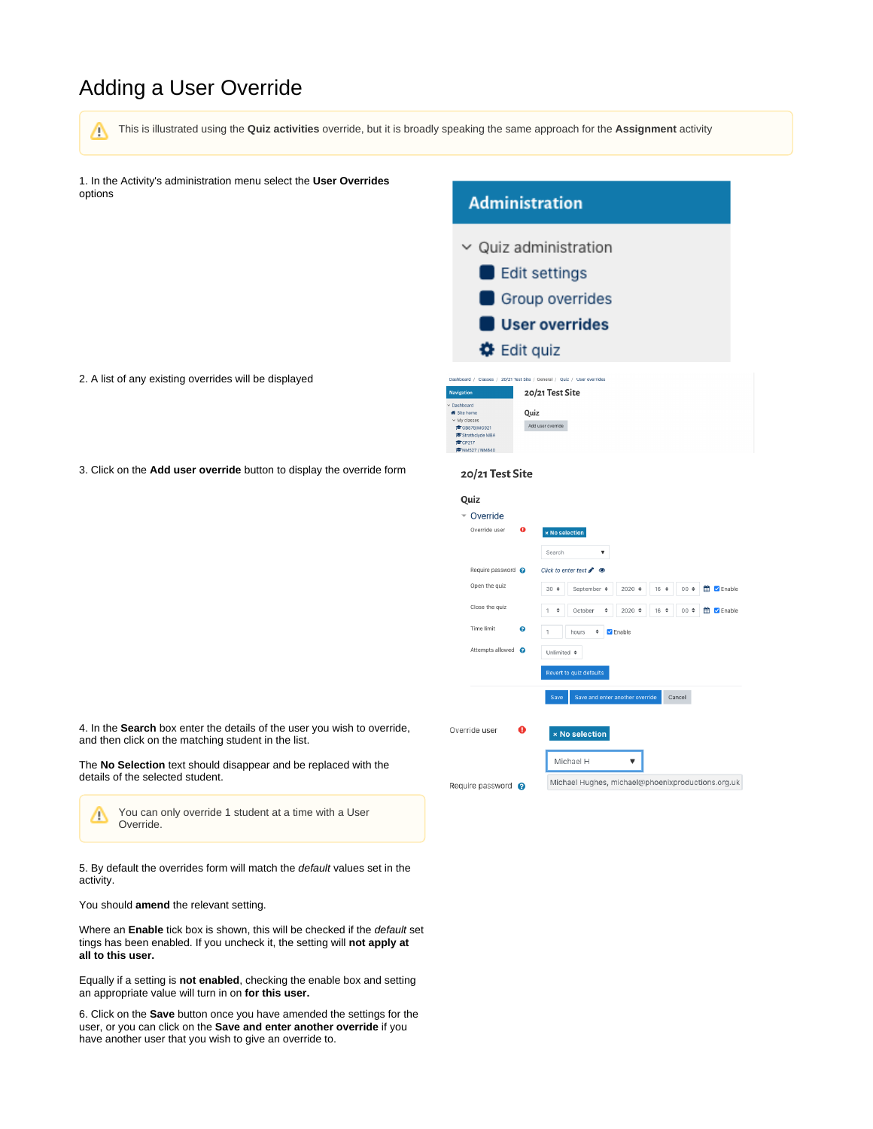## <span id="page-1-0"></span>Adding a User Override

This is illustrated using the **Quiz activities** override, but it is broadly speaking the same approach for the **Assignment** activity Δ

1. In the Activity's administration menu select the **User Overrides** options

# **Administration**

- $\vee$  Quiz administration Edit settings Group overrides
	- User overrides

Dashboard / Classes / 20/21 Test Site / General / Quiz / User overrides 20/21 Test Site Ouiz Add user override

**♦** Edit quiz

20/21 Test Site

- 2. A list of any existing overrides will be displayed
- 3. Click on the **Add user override** button to display the override form

| Quiz                                        |                                                   |                                                                                                          |  |  |  |
|---------------------------------------------|---------------------------------------------------|----------------------------------------------------------------------------------------------------------|--|--|--|
| Override                                    |                                                   |                                                                                                          |  |  |  |
| Override user                               | $\bullet$                                         | <b>× No selection</b><br>Search<br>$\blacktriangledown$                                                  |  |  |  |
| Require password @                          |                                                   | Click to enter text $\gg$                                                                                |  |  |  |
| Open the quiz                               |                                                   | September $\div$<br>$2020 \div$<br>鹼<br><b>Z</b> Enable<br>$30 \div$<br>$16 \div$<br>$00 \div$           |  |  |  |
| Close the quiz                              |                                                   | 顔<br>$2020 \div$<br>$16 \div$<br>$00 \div$<br>$\blacksquare$ Enable<br>÷<br>October<br>÷<br>$\mathbf{1}$ |  |  |  |
| Time limit                                  | ℯ                                                 | ÷<br><b>Z</b> Enable<br>hours<br>1                                                                       |  |  |  |
| Attempts allowed                            | ຨ                                                 | Unlimited $\div$                                                                                         |  |  |  |
| Revert to quiz defaults                     |                                                   |                                                                                                          |  |  |  |
|                                             | Save and enter another override<br>Cancel<br>Save |                                                                                                          |  |  |  |
| Override user<br>A<br><b>× No selection</b> |                                                   |                                                                                                          |  |  |  |
| Michael H                                   |                                                   |                                                                                                          |  |  |  |
| Require password @                          |                                                   | Michael Hughes, michael@phoenixproductions.org.uk                                                        |  |  |  |

4. In the **Search** box enter the details of the user you wish to override, and then click on the matching student in the list.

The **No Selection** text should disappear and be replaced with the details of the selected student.

You can only override 1 student at a time with a User Δ Override.

5. By default the overrides form will match the default values set in the activity.

You should **amend** the relevant setting.

Where an **Enable** tick box is shown, this will be checked if the default set tings has been enabled. If you uncheck it, the setting will **not apply at all to this user.** 

Equally if a setting is **not enabled**, checking the enable box and setting an appropriate value will turn in on **for this user.**

6. Click on the **Save** button once you have amended the settings for the user, or you can click on the **Save and enter another override** if you have another user that you wish to give an override to.